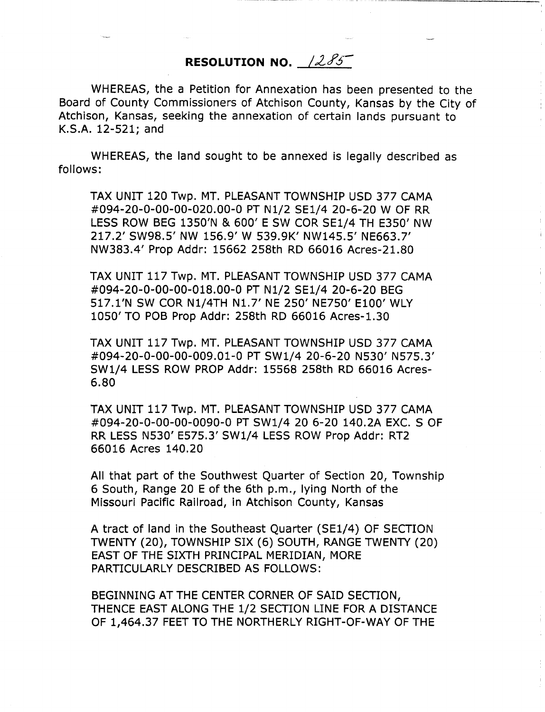## **RESOLUTION NO.**  $1285$

WHEREAS, the a Petition for Annexation has been presented to the Board of County Commissioners of Atchison County, Kansas by the City of Atchison, Kansas, seeking the annexation of certain lands pursuant to K.S.A. 12-521; and

WHEREAS, the land sought to be annexed is legally described as follows:

TAX UNIT 120 Twp. MT. PLEASANT TOWNSHIP USD 377 CAMA #094-20-0-00-00-020.00-0 PT N1/2 SE1/4 20-6-20 W OF RR LESS ROW BEG 1350'N & 600' E SW COR SE1/4 TH E350' NW 217.2' SW98.5' NW 156.9' W 539.9K' NW145.5' NE663.7' NW383.4' Prop Addr: 15662 258th RD 66016 Acres-21.80

TAX UNIT 117 Twp. MT. PLEASANT TOWNSHIP USD 377 CAMA #094-20-0-00-00-018.00-0 PT N1/2 SE1/4 20-6-20 BEG 517.1'N SW COR N1/4TH N1.7' NE 250' NE750' E100' WLY 1050' TO POB Prop Addr: 258th RD 66016 Acres-1.30

TAX UNIT 117 Twp. MT. PLEASANT TOWNSHIP USD 377 CAMA #094-20-0-00-00-009.01-0 PT SW1/4 20-6-20 N530' N575.3' SW1/4 LESS ROW PROP Addr: 15568 258th RD 66016 Acres-6.80

TAX UNIT 117 Twp. MT. PLEASANT TOWNSHIP USD 377 CAMA #094-20-0-00-00-0090-0 PT SW1/4 20 6-20 140.2A EXC. S OF RR LESS N530' E575.3' SW1/4 LESS ROW Prop Addr: RT2 66016 Acres 140.20

All that part of the Southwest Quarter of Section 20, Township 6 South, Range 20 E of the 6th p.m., lying North of the Missouri Pacific Railroad, in Atchison County, Kansas

A tract of land in the Southeast Quarter (SE1/4) OF SECTION TWENTY (20), TOWNSHIP SIX (6) SOUTH, RANGE TWENTY (20) EAST OF THE SIXTH PRINCIPAL MERIDIAN, MORE PARTICULARLY DESCRIBED AS FOLLOWS:

BEGINNING AT THE CENTER CORNER OF SAID SECTION, THENCE EAST ALONG THE 1/2 SECTION LINE FOR A DISTANCE OF 1,464.37 FEET TO THE NORTHERLY RIGHT-OF-WAY OF THE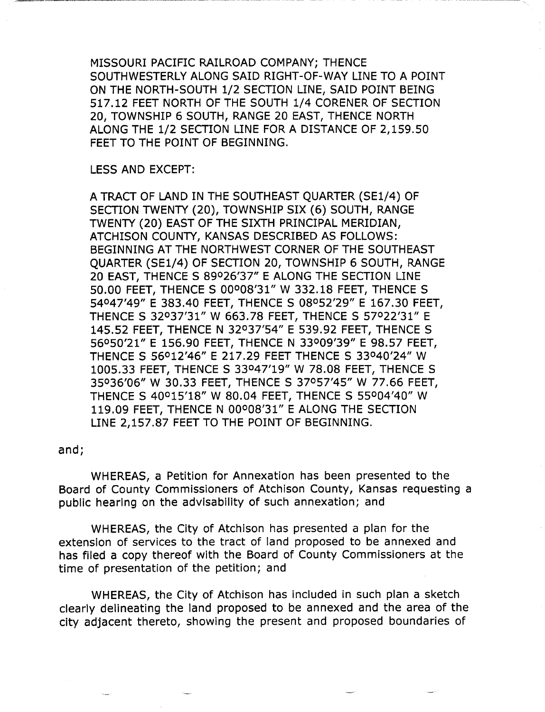MISSOURI PACIFIC RAILROAD COMPANY; THENCE SOUTHWESTERLY ALONG SAID RIGHT-OF-WAY LINE TO A POINT ON THE NORTH-SOUTH 1/2 SECTION LINE, SAID POINT BEING 517.12 FEET NORTH OF THE SOUTH 1/4 CORENER OF SECTION 20, TOWNSHIP 6 SOUTH, RANGE 20 EAST, THENCE NORTH ALONG THE 1/2 SECTION LINE FOR A DISTANCE OF 2,159.50 FEET TO THE POINT OF BEGINNING.

LESS AND EXCEPT:

A TRACT OF LAND IN THE SOUTHEAST QUARTER (SE1/4) OF SECTION TWENTY (20), TOWNSHIP SIX (6) SOUTH, RANGE TWENTY (20) EAST OF THE SIXTH PRINCIPAL MERIDIAN, ATCHISON COUNTY, KANSAS DESCRIBED AS FOLLOWS: BEGINNING AT THE NORTHWEST CORNER OF THE SOUTHEAST QUARTER (SE1/4) OF SECTION 20, TOWNSHIP 6 SOUTH, RANGE 20 EAST, THENCE S 89°26'37" E ALONG THE SECTION LINE 50.00 FEET, THENCE S 00°08'31" W 332.18 FEET, THENCE S 54°47'49" E 383.40 FEET, THENCE S 08°52'29" E 167.30 FEET, THENCE S 32°37'31" W 663.78 FEET, THENCE S 57°22'31" E 145.52 FEET, THENCE N 32°37'54" E 539.92 FEET, THENCE S 56°50'21" E 156.90 FEET, THENCE N 33°09'39" E 98.57 FEET, THENCE S 56°12'46" E 217.29 FEET THENCE S 33°40'24" W 1005.33 FEET, THENCE S 33°47'19" W 78.08 FEET, THENCE S 35°36'06" W 30.33 FEET, THENCE S 37°57'45" W 77.66 FEET, THENCE S 40°15'18" W 80.04 FEET, THENCE S 55°04'40" W 119.09 FEET, THENCE N 00°08'31" E ALONG THE SECTION LINE 2,157.87 FEET TO THE POINT OF BEGINNING.

and;

WHEREAS, a Petition for Annexation has been presented to the Board of County Commissioners of Atchison County, Kansas requesting a public hearing on the advisability of such annexation; and

WHEREAS, the City of Atchison has presented a plan for the extension of services to the tract of land proposed to be annexed and has filed a copy thereof with the Board of County Commissioners at the time of presentation of the petition; and

WHEREAS, the City of Atchison has included in such plan a sketch clearly delineating the land proposed to be annexed and the area of the city adjacent thereto, showing the present and proposed boundaries of